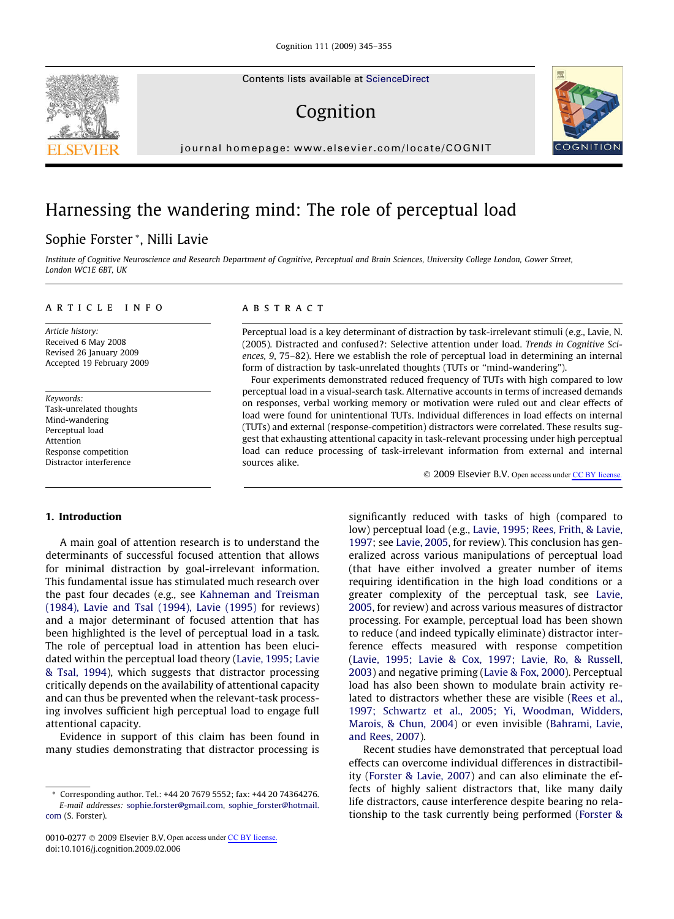Contents lists available at [ScienceDirect](http://www.sciencedirect.com/science/journal/00100277)

## Cognition



journal homepage: [www.elsevier.com/locate/COGNIT](http://www.elsevier.com/locate/COGNIT)

# Harnessing the wandering mind: The role of perceptual load

## Sophie Forster \*, Nilli Lavie

Institute of Cognitive Neuroscience and Research Department of Cognitive, Perceptual and Brain Sciences, University College London, Gower Street, London WC1E 6BT, UK

#### article info

Article history: Received 6 May 2008 Revised 26 January 2009 Accepted 19 February 2009

Keywords: Task-unrelated thoughts Mind-wandering Perceptual load Attention Response competition Distractor interference

## **ABSTRACT**

Perceptual load is a key determinant of distraction by task-irrelevant stimuli (e.g., Lavie, N. (2005). Distracted and confused?: Selective attention under load. Trends in Cognitive Sciences, 9, 75–82). Here we establish the role of perceptual load in determining an internal form of distraction by task-unrelated thoughts (TUTs or ''mind-wandering").

Four experiments demonstrated reduced frequency of TUTs with high compared to low perceptual load in a visual-search task. Alternative accounts in terms of increased demands on responses, verbal working memory or motivation were ruled out and clear effects of load were found for unintentional TUTs. Individual differences in load effects on internal (TUTs) and external (response-competition) distractors were correlated. These results suggest that exhausting attentional capacity in task-relevant processing under high perceptual load can reduce processing of task-irrelevant information from external and internal sources alike.

© 2009 Elsevier B.V. Open access under [CC BY license.](http://creativecommons.org/licenses/by/3.0/)

## 1. Introduction

A main goal of attention research is to understand the determinants of successful focused attention that allows for minimal distraction by goal-irrelevant information. This fundamental issue has stimulated much research over the past four decades (e.g., see [Kahneman and Treisman](#page-9-0) [\(1984\), Lavie and Tsal \(1994\), Lavie \(1995\)](#page-9-0) for reviews) and a major determinant of focused attention that has been highlighted is the level of perceptual load in a task. The role of perceptual load in attention has been elucidated within the perceptual load theory [\(Lavie, 1995; Lavie](#page-9-0) [& Tsal, 1994](#page-9-0)), which suggests that distractor processing critically depends on the availability of attentional capacity and can thus be prevented when the relevant-task processing involves sufficient high perceptual load to engage full attentional capacity.

Evidence in support of this claim has been found in many studies demonstrating that distractor processing is

0010-0277 © 2009 Elsevier B.V. Open access under [CC BY license.](http://creativecommons.org/licenses/by/3.0/) doi:10.1016/j.cognition.2009.02.006

[1997;](#page-9-0) see [Lavie, 2005](#page-9-0), for review). This conclusion has generalized across various manipulations of perceptual load (that have either involved a greater number of items requiring identification in the high load conditions or a greater complexity of the perceptual task, see [Lavie,](#page-9-0) [2005,](#page-9-0) for review) and across various measures of distractor processing. For example, perceptual load has been shown to reduce (and indeed typically eliminate) distractor interference effects measured with response competition [\(Lavie, 1995; Lavie & Cox, 1997; Lavie, Ro, & Russell,](#page-9-0) [2003\)](#page-9-0) and negative priming [\(Lavie & Fox, 2000](#page-9-0)). Perceptual load has also been shown to modulate brain activity related to distractors whether these are visible ([Rees et al.,](#page-9-0) [1997; Schwartz et al., 2005; Yi, Woodman, Widders,](#page-9-0) [Marois, & Chun, 2004\)](#page-9-0) or even invisible ([Bahrami, Lavie,](#page-9-0) [and Rees, 2007](#page-9-0)). Recent studies have demonstrated that perceptual load

significantly reduced with tasks of high (compared to low) perceptual load (e.g., [Lavie, 1995; Rees, Frith, & Lavie,](#page-9-0)

effects can overcome individual differences in distractibility [\(Forster & Lavie, 2007](#page-9-0)) and can also eliminate the effects of highly salient distractors that, like many daily life distractors, cause interference despite bearing no relationship to the task currently being performed [\(Forster &](#page-9-0)



<sup>\*</sup> Corresponding author. Tel.: +44 20 7679 5552; fax: +44 20 74364276. E-mail addresses: [sophie.forster@gmail.com](mailto:sophie.forster@gmail.com), [sophie\\_forster@hotmail.](mailto:sophie_forster@hotmail.com) [com](mailto:sophie_forster@hotmail.com) (S. Forster).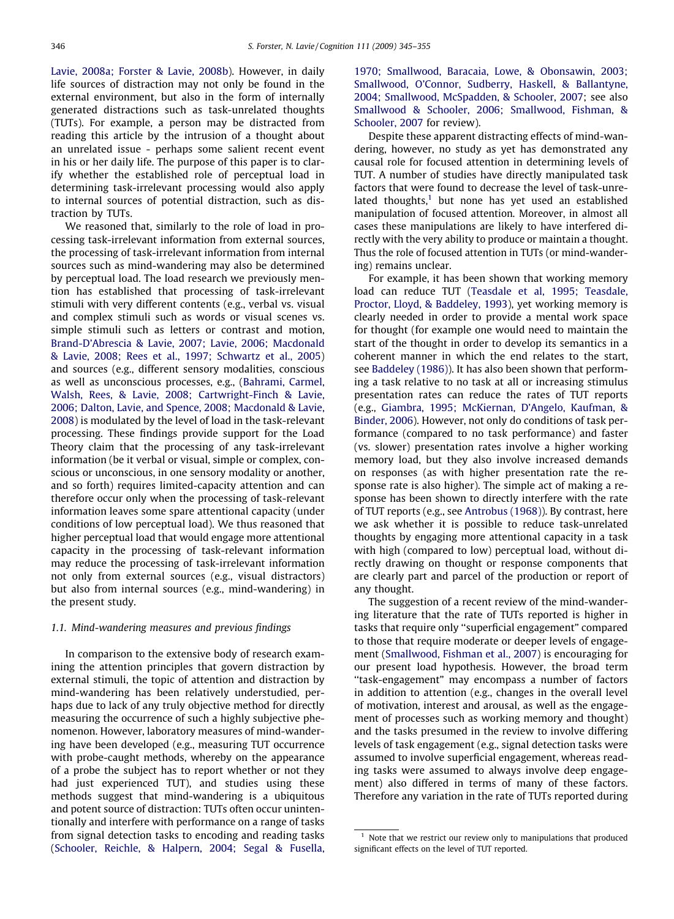[Lavie, 2008a; Forster & Lavie, 2008b](#page-9-0)). However, in daily life sources of distraction may not only be found in the external environment, but also in the form of internally generated distractions such as task-unrelated thoughts (TUTs). For example, a person may be distracted from reading this article by the intrusion of a thought about an unrelated issue - perhaps some salient recent event in his or her daily life. The purpose of this paper is to clarify whether the established role of perceptual load in determining task-irrelevant processing would also apply to internal sources of potential distraction, such as distraction by TUTs.

We reasoned that, similarly to the role of load in processing task-irrelevant information from external sources, the processing of task-irrelevant information from internal sources such as mind-wandering may also be determined by perceptual load. The load research we previously mention has established that processing of task-irrelevant stimuli with very different contents (e.g., verbal vs. visual and complex stimuli such as words or visual scenes vs. simple stimuli such as letters or contrast and motion, [Brand-D'Abrescia & Lavie, 2007; Lavie, 2006; Macdonald](#page-9-0) [& Lavie, 2008; Rees et al., 1997; Schwartz et al., 2005](#page-9-0)) and sources (e.g., different sensory modalities, conscious as well as unconscious processes, e.g., [\(Bahrami, Carmel,](#page-9-0) [Walsh, Rees, & Lavie, 2008; Cartwright-Finch & Lavie,](#page-9-0) [2006; Dalton, Lavie, and Spence, 2008; Macdonald & Lavie,](#page-9-0) [2008](#page-9-0)) is modulated by the level of load in the task-relevant processing. These findings provide support for the Load Theory claim that the processing of any task-irrelevant information (be it verbal or visual, simple or complex, conscious or unconscious, in one sensory modality or another, and so forth) requires limited-capacity attention and can therefore occur only when the processing of task-relevant information leaves some spare attentional capacity (under conditions of low perceptual load). We thus reasoned that higher perceptual load that would engage more attentional capacity in the processing of task-relevant information may reduce the processing of task-irrelevant information not only from external sources (e.g., visual distractors) but also from internal sources (e.g., mind-wandering) in the present study.

## 1.1. Mind-wandering measures and previous findings

In comparison to the extensive body of research examining the attention principles that govern distraction by external stimuli, the topic of attention and distraction by mind-wandering has been relatively understudied, perhaps due to lack of any truly objective method for directly measuring the occurrence of such a highly subjective phenomenon. However, laboratory measures of mind-wandering have been developed (e.g., measuring TUT occurrence with probe-caught methods, whereby on the appearance of a probe the subject has to report whether or not they had just experienced TUT), and studies using these methods suggest that mind-wandering is a ubiquitous and potent source of distraction: TUTs often occur unintentionally and interfere with performance on a range of tasks from signal detection tasks to encoding and reading tasks [\(Schooler, Reichle, & Halpern, 2004; Segal & Fusella,](#page-9-0)

[1970; Smallwood, Baracaia, Lowe, & Obonsawin, 2003;](#page-9-0) [Smallwood, O'Connor, Sudberry, Haskell, & Ballantyne,](#page-9-0) [2004; Smallwood, McSpadden, & Schooler, 2007](#page-9-0); see also [Smallwood & Schooler, 2006; Smallwood, Fishman, &](#page-9-0) [Schooler, 2007](#page-9-0) for review).

Despite these apparent distracting effects of mind-wandering, however, no study as yet has demonstrated any causal role for focused attention in determining levels of TUT. A number of studies have directly manipulated task factors that were found to decrease the level of task-unrelated thoughts, $1$  but none has yet used an established manipulation of focused attention. Moreover, in almost all cases these manipulations are likely to have interfered directly with the very ability to produce or maintain a thought. Thus the role of focused attention in TUTs (or mind-wandering) remains unclear.

For example, it has been shown that working memory load can reduce TUT ([Teasdale et al, 1995; Teasdale,](#page-9-0) [Proctor, Lloyd, & Baddeley, 1993](#page-9-0)), yet working memory is clearly needed in order to provide a mental work space for thought (for example one would need to maintain the start of the thought in order to develop its semantics in a coherent manner in which the end relates to the start, see [Baddeley \(1986\)\)](#page-9-0). It has also been shown that performing a task relative to no task at all or increasing stimulus presentation rates can reduce the rates of TUT reports (e.g., [Giambra, 1995; McKiernan, D'Angelo, Kaufman, &](#page-9-0) [Binder, 2006\)](#page-9-0). However, not only do conditions of task performance (compared to no task performance) and faster (vs. slower) presentation rates involve a higher working memory load, but they also involve increased demands on responses (as with higher presentation rate the response rate is also higher). The simple act of making a response has been shown to directly interfere with the rate of TUT reports (e.g., see [Antrobus \(1968\)](#page-9-0)). By contrast, here we ask whether it is possible to reduce task-unrelated thoughts by engaging more attentional capacity in a task with high (compared to low) perceptual load, without directly drawing on thought or response components that are clearly part and parcel of the production or report of any thought.

The suggestion of a recent review of the mind-wandering literature that the rate of TUTs reported is higher in tasks that require only ''superficial engagement" compared to those that require moderate or deeper levels of engagement ([Smallwood, Fishman et al., 2007\)](#page-9-0) is encouraging for our present load hypothesis. However, the broad term ''task-engagement" may encompass a number of factors in addition to attention (e.g., changes in the overall level of motivation, interest and arousal, as well as the engagement of processes such as working memory and thought) and the tasks presumed in the review to involve differing levels of task engagement (e.g., signal detection tasks were assumed to involve superficial engagement, whereas reading tasks were assumed to always involve deep engagement) also differed in terms of many of these factors. Therefore any variation in the rate of TUTs reported during

 $1$  Note that we restrict our review only to manipulations that produced significant effects on the level of TUT reported.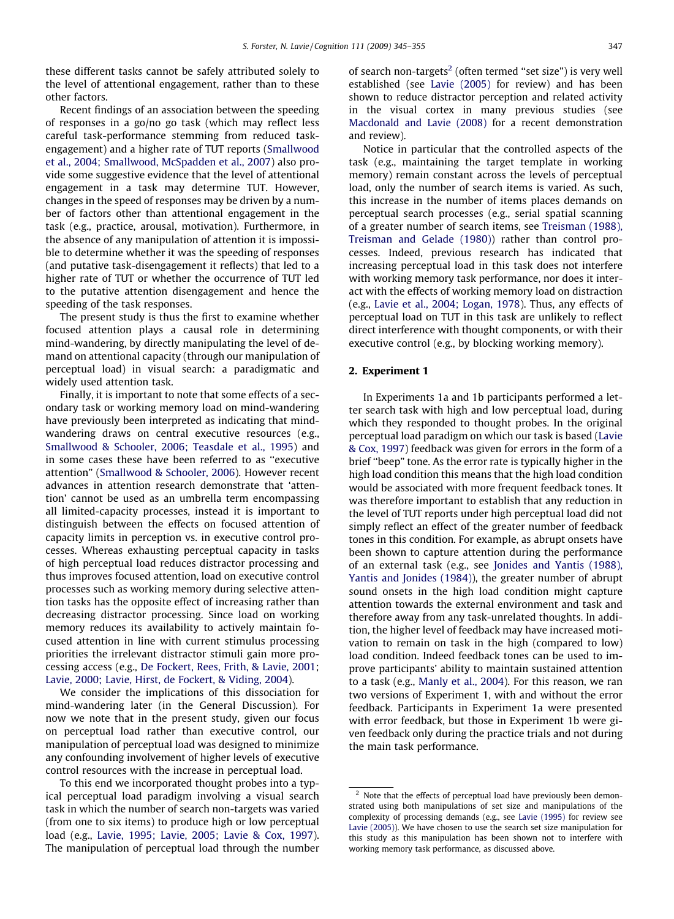these different tasks cannot be safely attributed solely to the level of attentional engagement, rather than to these other factors.

Recent findings of an association between the speeding of responses in a go/no go task (which may reflect less careful task-performance stemming from reduced taskengagement) and a higher rate of TUT reports ([Smallwood](#page-9-0) [et al., 2004; Smallwood, McSpadden et al., 2007\)](#page-9-0) also provide some suggestive evidence that the level of attentional engagement in a task may determine TUT. However, changes in the speed of responses may be driven by a number of factors other than attentional engagement in the task (e.g., practice, arousal, motivation). Furthermore, in the absence of any manipulation of attention it is impossible to determine whether it was the speeding of responses (and putative task-disengagement it reflects) that led to a higher rate of TUT or whether the occurrence of TUT led to the putative attention disengagement and hence the speeding of the task responses.

The present study is thus the first to examine whether focused attention plays a causal role in determining mind-wandering, by directly manipulating the level of demand on attentional capacity (through our manipulation of perceptual load) in visual search: a paradigmatic and widely used attention task.

Finally, it is important to note that some effects of a secondary task or working memory load on mind-wandering have previously been interpreted as indicating that mindwandering draws on central executive resources (e.g., [Smallwood & Schooler, 2006; Teasdale et al., 1995](#page-9-0)) and in some cases these have been referred to as ''executive attention" ([Smallwood & Schooler, 2006\)](#page-9-0). However recent advances in attention research demonstrate that 'attention' cannot be used as an umbrella term encompassing all limited-capacity processes, instead it is important to distinguish between the effects on focused attention of capacity limits in perception vs. in executive control processes. Whereas exhausting perceptual capacity in tasks of high perceptual load reduces distractor processing and thus improves focused attention, load on executive control processes such as working memory during selective attention tasks has the opposite effect of increasing rather than decreasing distractor processing. Since load on working memory reduces its availability to actively maintain focused attention in line with current stimulus processing priorities the irrelevant distractor stimuli gain more processing access (e.g., [De Fockert, Rees, Frith, & Lavie, 2001](#page-9-0); [Lavie, 2000; Lavie, Hirst, de Fockert, & Viding, 2004\)](#page-9-0).

We consider the implications of this dissociation for mind-wandering later (in the General Discussion). For now we note that in the present study, given our focus on perceptual load rather than executive control, our manipulation of perceptual load was designed to minimize any confounding involvement of higher levels of executive control resources with the increase in perceptual load.

To this end we incorporated thought probes into a typical perceptual load paradigm involving a visual search task in which the number of search non-targets was varied (from one to six items) to produce high or low perceptual load (e.g., [Lavie, 1995; Lavie, 2005; Lavie & Cox, 1997](#page-9-0)). The manipulation of perceptual load through the number of search non-targets<sup>2</sup> (often termed "set size") is very well established (see [Lavie \(2005\)](#page-9-0) for review) and has been shown to reduce distractor perception and related activity in the visual cortex in many previous studies (see [Macdonald and Lavie \(2008\)](#page-9-0) for a recent demonstration and review).

Notice in particular that the controlled aspects of the task (e.g., maintaining the target template in working memory) remain constant across the levels of perceptual load, only the number of search items is varied. As such, this increase in the number of items places demands on perceptual search processes (e.g., serial spatial scanning of a greater number of search items, see [Treisman \(1988\),](#page-10-0) [Treisman and Gelade \(1980\)\)](#page-10-0) rather than control processes. Indeed, previous research has indicated that increasing perceptual load in this task does not interfere with working memory task performance, nor does it interact with the effects of working memory load on distraction (e.g., [Lavie et al., 2004; Logan, 1978](#page-9-0)). Thus, any effects of perceptual load on TUT in this task are unlikely to reflect direct interference with thought components, or with their executive control (e.g., by blocking working memory).

#### 2. Experiment 1

In Experiments 1a and 1b participants performed a letter search task with high and low perceptual load, during which they responded to thought probes. In the original perceptual load paradigm on which our task is based ([Lavie](#page-9-0) [& Cox, 1997\)](#page-9-0) feedback was given for errors in the form of a brief ''beep" tone. As the error rate is typically higher in the high load condition this means that the high load condition would be associated with more frequent feedback tones. It was therefore important to establish that any reduction in the level of TUT reports under high perceptual load did not simply reflect an effect of the greater number of feedback tones in this condition. For example, as abrupt onsets have been shown to capture attention during the performance of an external task (e.g., see [Jonides and Yantis \(1988\),](#page-9-0) [Yantis and Jonides \(1984\)](#page-9-0)), the greater number of abrupt sound onsets in the high load condition might capture attention towards the external environment and task and therefore away from any task-unrelated thoughts. In addition, the higher level of feedback may have increased motivation to remain on task in the high (compared to low) load condition. Indeed feedback tones can be used to improve participants' ability to maintain sustained attention to a task (e.g., [Manly et al., 2004](#page-9-0)). For this reason, we ran two versions of Experiment 1, with and without the error feedback. Participants in Experiment 1a were presented with error feedback, but those in Experiment 1b were given feedback only during the practice trials and not during the main task performance.

<sup>&</sup>lt;sup>2</sup> Note that the effects of perceptual load have previously been demonstrated using both manipulations of set size and manipulations of the complexity of processing demands (e.g., see [Lavie \(1995\)](#page-9-0) for review see [Lavie \(2005\)\)](#page-9-0). We have chosen to use the search set size manipulation for this study as this manipulation has been shown not to interfere with working memory task performance, as discussed above.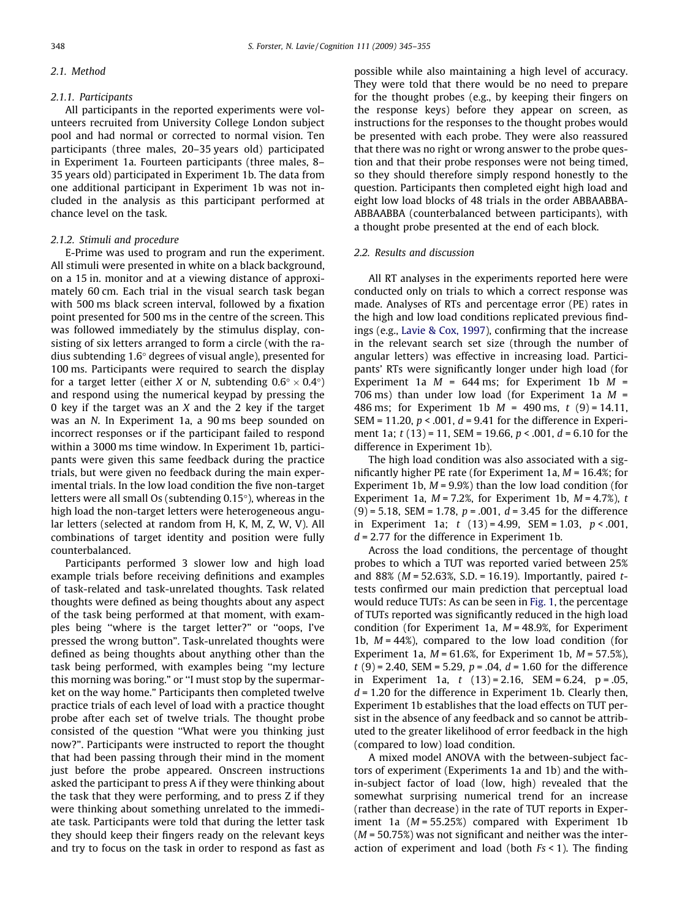## 2.1. Method

## 2.1.1. Participants

All participants in the reported experiments were volunteers recruited from University College London subject pool and had normal or corrected to normal vision. Ten participants (three males, 20–35 years old) participated in Experiment 1a. Fourteen participants (three males, 8– 35 years old) participated in Experiment 1b. The data from one additional participant in Experiment 1b was not included in the analysis as this participant performed at chance level on the task.

#### 2.1.2. Stimuli and procedure

E-Prime was used to program and run the experiment. All stimuli were presented in white on a black background, on a 15 in. monitor and at a viewing distance of approximately 60 cm. Each trial in the visual search task began with 500 ms black screen interval, followed by a fixation point presented for 500 ms in the centre of the screen. This was followed immediately by the stimulus display, consisting of six letters arranged to form a circle (with the radius subtending  $1.6^{\circ}$  degrees of visual angle), presented for 100 ms. Participants were required to search the display for a target letter (either X or N, subtending 0.6°  $\times$  0.4°) and respond using the numerical keypad by pressing the 0 key if the target was an  $X$  and the 2 key if the target was an N. In Experiment 1a, a 90 ms beep sounded on incorrect responses or if the participant failed to respond within a 3000 ms time window. In Experiment 1b, participants were given this same feedback during the practice trials, but were given no feedback during the main experimental trials. In the low load condition the five non-target letters were all small Os (subtending  $0.15^{\circ}$ ), whereas in the high load the non-target letters were heterogeneous angular letters (selected at random from H, K, M, Z, W, V). All combinations of target identity and position were fully counterbalanced.

Participants performed 3 slower low and high load example trials before receiving definitions and examples of task-related and task-unrelated thoughts. Task related thoughts were defined as being thoughts about any aspect of the task being performed at that moment, with examples being ''where is the target letter?" or ''oops, I've pressed the wrong button". Task-unrelated thoughts were defined as being thoughts about anything other than the task being performed, with examples being ''my lecture this morning was boring." or ''I must stop by the supermarket on the way home." Participants then completed twelve practice trials of each level of load with a practice thought probe after each set of twelve trials. The thought probe consisted of the question ''What were you thinking just now?". Participants were instructed to report the thought that had been passing through their mind in the moment just before the probe appeared. Onscreen instructions asked the participant to press A if they were thinking about the task that they were performing, and to press Z if they were thinking about something unrelated to the immediate task. Participants were told that during the letter task they should keep their fingers ready on the relevant keys and try to focus on the task in order to respond as fast as

possible while also maintaining a high level of accuracy. They were told that there would be no need to prepare for the thought probes (e.g., by keeping their fingers on the response keys) before they appear on screen, as instructions for the responses to the thought probes would be presented with each probe. They were also reassured that there was no right or wrong answer to the probe question and that their probe responses were not being timed, so they should therefore simply respond honestly to the question. Participants then completed eight high load and eight low load blocks of 48 trials in the order ABBAABBA-ABBAABBA (counterbalanced between participants), with a thought probe presented at the end of each block.

## 2.2. Results and discussion

All RT analyses in the experiments reported here were conducted only on trials to which a correct response was made. Analyses of RTs and percentage error (PE) rates in the high and low load conditions replicated previous findings (e.g., [Lavie & Cox, 1997](#page-9-0)), confirming that the increase in the relevant search set size (through the number of angular letters) was effective in increasing load. Participants' RTs were significantly longer under high load (for Experiment 1a  $M = 644$  ms; for Experiment 1b  $M =$ 706 ms) than under low load (for Experiment 1a  $M =$ 486 ms; for Experiment 1b  $M = 490$  ms, t (9) = 14.11, SEM = 11.20,  $p < .001$ ,  $d = 9.41$  for the difference in Experiment 1a;  $t(13) = 11$ , SEM = 19.66,  $p < .001$ ,  $d = 6.10$  for the difference in Experiment 1b).

The high load condition was also associated with a significantly higher PE rate (for Experiment 1a,  $M = 16.4\%$ ; for Experiment 1b,  $M = 9.9\%$ ) than the low load condition (for Experiment 1a,  $M = 7.2\%$ , for Experiment 1b,  $M = 4.7\%$ ), t  $(9) = 5.18$ , SEM = 1.78,  $p = .001$ ,  $d = 3.45$  for the difference in Experiment 1a;  $t(13) = 4.99$ , SEM = 1.03,  $p < .001$ ,  $d = 2.77$  for the difference in Experiment 1b.

Across the load conditions, the percentage of thought probes to which a TUT was reported varied between 25% and 88% ( $M = 52.63$ %, S.D. = 16.19). Importantly, paired ttests confirmed our main prediction that perceptual load would reduce TUTs: As can be seen in [Fig. 1,](#page-4-0) the percentage of TUTs reported was significantly reduced in the high load condition (for Experiment 1a,  $M = 48.9$ %, for Experiment 1b,  $M = 44\%)$ , compared to the low load condition (for Experiment 1a,  $M = 61.6$ %, for Experiment 1b,  $M = 57.5$ %),  $t$  (9) = 2.40, SEM = 5.29,  $p$  = .04,  $d$  = 1.60 for the difference in Experiment 1a,  $t$  (13) = 2.16, SEM = 6.24, p = .05,  $d = 1.20$  for the difference in Experiment 1b. Clearly then, Experiment 1b establishes that the load effects on TUT persist in the absence of any feedback and so cannot be attributed to the greater likelihood of error feedback in the high (compared to low) load condition.

A mixed model ANOVA with the between-subject factors of experiment (Experiments 1a and 1b) and the within-subject factor of load (low, high) revealed that the somewhat surprising numerical trend for an increase (rather than decrease) in the rate of TUT reports in Experiment 1a  $(M = 55.25%)$  compared with Experiment 1b  $(M = 50.75\%)$  was not significant and neither was the interaction of experiment and load (both  $Fs < 1$ ). The finding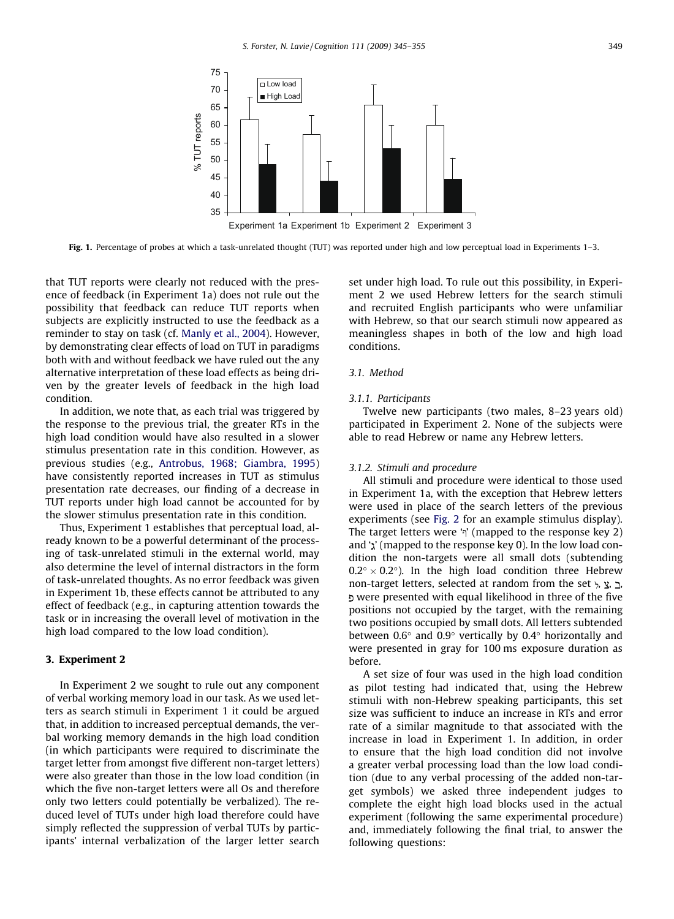<span id="page-4-0"></span>

Fig. 1. Percentage of probes at which a task-unrelated thought (TUT) was reported under high and low perceptual load in Experiments 1–3.

that TUT reports were clearly not reduced with the presence of feedback (in Experiment 1a) does not rule out the possibility that feedback can reduce TUT reports when subjects are explicitly instructed to use the feedback as a reminder to stay on task (cf. [Manly et al., 2004\)](#page-9-0). However, by demonstrating clear effects of load on TUT in paradigms both with and without feedback we have ruled out the any alternative interpretation of these load effects as being driven by the greater levels of feedback in the high load condition.

In addition, we note that, as each trial was triggered by the response to the previous trial, the greater RTs in the high load condition would have also resulted in a slower stimulus presentation rate in this condition. However, as previous studies (e.g., [Antrobus, 1968; Giambra, 1995](#page-9-0)) have consistently reported increases in TUT as stimulus presentation rate decreases, our finding of a decrease in TUT reports under high load cannot be accounted for by the slower stimulus presentation rate in this condition.

Thus, Experiment 1 establishes that perceptual load, already known to be a powerful determinant of the processing of task-unrelated stimuli in the external world, may also determine the level of internal distractors in the form of task-unrelated thoughts. As no error feedback was given in Experiment 1b, these effects cannot be attributed to any effect of feedback (e.g., in capturing attention towards the task or in increasing the overall level of motivation in the high load compared to the low load condition).

## 3. Experiment 2

In Experiment 2 we sought to rule out any component of verbal working memory load in our task. As we used letters as search stimuli in Experiment 1 it could be argued that, in addition to increased perceptual demands, the verbal working memory demands in the high load condition (in which participants were required to discriminate the target letter from amongst five different non-target letters) were also greater than those in the low load condition (in which the five non-target letters were all Os and therefore only two letters could potentially be verbalized). The reduced level of TUTs under high load therefore could have simply reflected the suppression of verbal TUTs by participants' internal verbalization of the larger letter search

set under high load. To rule out this possibility, in Experiment 2 we used Hebrew letters for the search stimuli and recruited English participants who were unfamiliar with Hebrew, so that our search stimuli now appeared as meaningless shapes in both of the low and high load conditions.

#### 3.1. Method

#### 3.1.1. Participants

Twelve new participants (two males, 8–23 years old) participated in Experiment 2. None of the subjects were able to read Hebrew or name any Hebrew letters.

## 3.1.2. Stimuli and procedure

All stimuli and procedure were identical to those used in Experiment 1a, with the exception that Hebrew letters were used in place of the search letters of the previous experiments (see [Fig. 2](#page-5-0) for an example stimulus display). The target letters were ' $\eta$ ' (mapped to the response key 2) and  $\lambda'$  (mapped to the response key 0). In the low load condition the non-targets were all small dots (subtending  $0.2^{\circ} \times 0.2^{\circ}$ ). In the high load condition three Hebrew non-target letters, selected at random from the set  $\frac{1}{2}$ ,  $\frac{1}{2}$ , were presented with equal likelihood in three of the five positions not occupied by the target, with the remaining two positions occupied by small dots. All letters subtended between  $0.6^{\circ}$  and  $0.9^{\circ}$  vertically by  $0.4^{\circ}$  horizontally and were presented in gray for 100 ms exposure duration as before.

A set size of four was used in the high load condition as pilot testing had indicated that, using the Hebrew stimuli with non-Hebrew speaking participants, this set size was sufficient to induce an increase in RTs and error rate of a similar magnitude to that associated with the increase in load in Experiment 1. In addition, in order to ensure that the high load condition did not involve a greater verbal processing load than the low load condition (due to any verbal processing of the added non-target symbols) we asked three independent judges to complete the eight high load blocks used in the actual experiment (following the same experimental procedure) and, immediately following the final trial, to answer the following questions: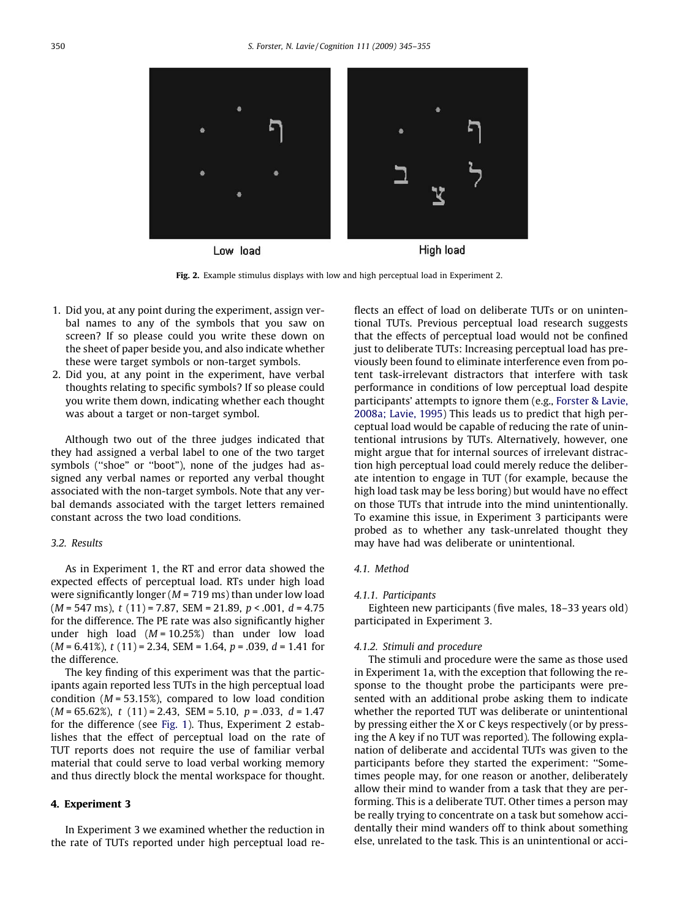<span id="page-5-0"></span>

Fig. 2. Example stimulus displays with low and high perceptual load in Experiment 2.

- 1. Did you, at any point during the experiment, assign verbal names to any of the symbols that you saw on screen? If so please could you write these down on the sheet of paper beside you, and also indicate whether these were target symbols or non-target symbols.
- 2. Did you, at any point in the experiment, have verbal thoughts relating to specific symbols? If so please could you write them down, indicating whether each thought was about a target or non-target symbol.

Although two out of the three judges indicated that they had assigned a verbal label to one of the two target symbols (''shoe" or ''boot"), none of the judges had assigned any verbal names or reported any verbal thought associated with the non-target symbols. Note that any verbal demands associated with the target letters remained constant across the two load conditions.

## 3.2. Results

As in Experiment 1, the RT and error data showed the expected effects of perceptual load. RTs under high load were significantly longer ( $M = 719$  ms) than under low load  $(M = 547 \text{ ms})$ ,  $t(11) = 7.87$ , SEM = 21.89,  $p < .001$ ,  $d = 4.75$ for the difference. The PE rate was also significantly higher under high load  $(M = 10.25%)$  than under low load  $(M = 6.41\%)$ ,  $t(11) = 2.34$ , SEM = 1.64,  $p = .039$ ,  $d = 1.41$  for the difference.

The key finding of this experiment was that the participants again reported less TUTs in the high perceptual load condition ( $M = 53.15\%$ ), compared to low load condition  $(M = 65.62\%)$ , t  $(11) = 2.43$ , SEM = 5.10, p = .033, d = 1.47 for the difference (see [Fig. 1\)](#page-4-0). Thus, Experiment 2 establishes that the effect of perceptual load on the rate of TUT reports does not require the use of familiar verbal material that could serve to load verbal working memory and thus directly block the mental workspace for thought.

## 4. Experiment 3

In Experiment 3 we examined whether the reduction in the rate of TUTs reported under high perceptual load re-

flects an effect of load on deliberate TUTs or on unintentional TUTs. Previous perceptual load research suggests that the effects of perceptual load would not be confined just to deliberate TUTs: Increasing perceptual load has previously been found to eliminate interference even from potent task-irrelevant distractors that interfere with task performance in conditions of low perceptual load despite participants' attempts to ignore them (e.g., [Forster & Lavie,](#page-9-0) [2008a; Lavie, 1995\)](#page-9-0) This leads us to predict that high perceptual load would be capable of reducing the rate of unintentional intrusions by TUTs. Alternatively, however, one might argue that for internal sources of irrelevant distraction high perceptual load could merely reduce the deliberate intention to engage in TUT (for example, because the high load task may be less boring) but would have no effect on those TUTs that intrude into the mind unintentionally. To examine this issue, in Experiment 3 participants were probed as to whether any task-unrelated thought they may have had was deliberate or unintentional.

#### 4.1. Method

#### 4.1.1. Participants

Eighteen new participants (five males, 18–33 years old) participated in Experiment 3.

#### 4.1.2. Stimuli and procedure

The stimuli and procedure were the same as those used in Experiment 1a, with the exception that following the response to the thought probe the participants were presented with an additional probe asking them to indicate whether the reported TUT was deliberate or unintentional by pressing either the X or C keys respectively (or by pressing the A key if no TUT was reported). The following explanation of deliberate and accidental TUTs was given to the participants before they started the experiment: ''Sometimes people may, for one reason or another, deliberately allow their mind to wander from a task that they are performing. This is a deliberate TUT. Other times a person may be really trying to concentrate on a task but somehow accidentally their mind wanders off to think about something else, unrelated to the task. This is an unintentional or acci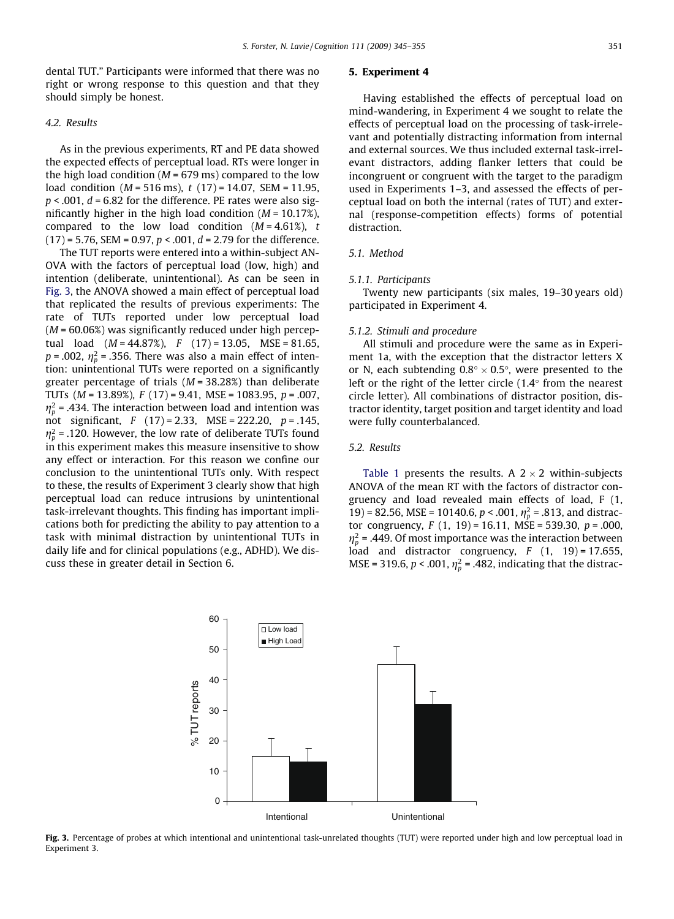dental TUT." Participants were informed that there was no right or wrong response to this question and that they should simply be honest.

## 4.2. Results

As in the previous experiments, RT and PE data showed the expected effects of perceptual load. RTs were longer in the high load condition ( $M = 679$  ms) compared to the low load condition  $(M = 516 \text{ ms})$ ,  $t(17) = 14.07$ , SEM = 11.95,  $p < .001$ ,  $d = 6.82$  for the difference. PE rates were also significantly higher in the high load condition  $(M = 10.17\%)$ , compared to the low load condition  $(M = 4.61\%)$ , t  $(17) = 5.76$ , SEM = 0.97,  $p < .001$ ,  $d = 2.79$  for the difference.

The TUT reports were entered into a within-subject AN-OVA with the factors of perceptual load (low, high) and intention (deliberate, unintentional). As can be seen in Fig. 3, the ANOVA showed a main effect of perceptual load that replicated the results of previous experiments: The rate of TUTs reported under low perceptual load  $(M = 60.06%)$  was significantly reduced under high perceptual load  $(M = 44.87\%)$ ,  $F(17) = 13.05$ ,  $MSE = 81.65$ ,  $p = .002$ ,  $\eta_p^2 = .356$ . There was also a main effect of intention: unintentional TUTs were reported on a significantly greater percentage of trials  $(M = 38.28%)$  than deliberate TUTs  $(M = 13.89\%)$ ,  $F(17) = 9.41$ , MSE = 1083.95,  $p = .007$ ,  $\eta_p^2$  = .434. The interaction between load and intention was not significant,  $F(17) = 2.33$ , MSE = 222.20,  $p = .145$ ,  $\eta_p^2$  = .120. However, the low rate of deliberate TUTs found in this experiment makes this measure insensitive to show any effect or interaction. For this reason we confine our conclusion to the unintentional TUTs only. With respect to these, the results of Experiment 3 clearly show that high perceptual load can reduce intrusions by unintentional task-irrelevant thoughts. This finding has important implications both for predicting the ability to pay attention to a task with minimal distraction by unintentional TUTs in daily life and for clinical populations (e.g., ADHD). We discuss these in greater detail in Section 6.

#### 5. Experiment 4

Having established the effects of perceptual load on mind-wandering, in Experiment 4 we sought to relate the effects of perceptual load on the processing of task-irrelevant and potentially distracting information from internal and external sources. We thus included external task-irrelevant distractors, adding flanker letters that could be incongruent or congruent with the target to the paradigm used in Experiments 1–3, and assessed the effects of perceptual load on both the internal (rates of TUT) and external (response-competition effects) forms of potential distraction.

#### 5.1. Method

#### 5.1.1. Participants

Twenty new participants (six males, 19–30 years old) participated in Experiment 4.

#### 5.1.2. Stimuli and procedure

All stimuli and procedure were the same as in Experiment 1a, with the exception that the distractor letters X or N, each subtending  $0.8^{\circ} \times 0.5^{\circ}$ , were presented to the left or the right of the letter circle  $(1.4^{\circ}$  from the nearest circle letter). All combinations of distractor position, distractor identity, target position and target identity and load were fully counterbalanced.

## 5.2. Results

[Table 1](#page-7-0) presents the results. A  $2 \times 2$  within-subjects ANOVA of the mean RT with the factors of distractor congruency and load revealed main effects of load, F (1, 19) = 82.56, MSE = 10140.6,  $p < .001$ ,  $\eta_p^2$  = .813, and distractor congruency,  $F(1, 19) = 16.11$ ,  $MSE = 539.30$ ,  $p = .000$ ,  $\eta_p^2$  = .449. Of most importance was the interaction between load and distractor congruency,  $F(1, 19) = 17.655$ , MSE = 319.6,  $p < .001$ ,  $\eta_p^2 = .482$ , indicating that the distrac-



Fig. 3. Percentage of probes at which intentional and unintentional task-unrelated thoughts (TUT) were reported under high and low perceptual load in Experiment 3.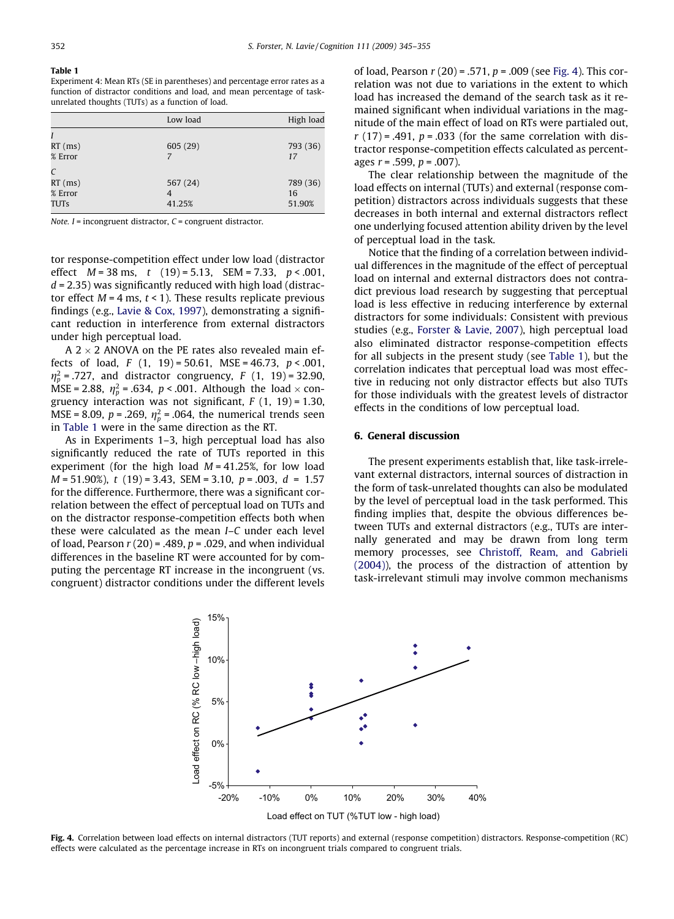#### <span id="page-7-0"></span>Table 1

Experiment 4: Mean RTs (SE in parentheses) and percentage error rates as a function of distractor conditions and load, and mean percentage of taskunrelated thoughts (TUTs) as a function of load.

|             | Low load | High load |
|-------------|----------|-----------|
|             |          |           |
| $RT$ (ms)   | 605 (29) | 793 (36)  |
| % Error     |          | 17        |
| C           |          |           |
| $RT$ (ms)   | 567 (24) | 789 (36)  |
| % Error     | 4        | 16        |
| <b>TUTs</b> | 41.25%   | 51.90%    |
|             |          |           |

Note.  $I =$  incongruent distractor,  $C =$  congruent distractor.

tor response-competition effect under low load (distractor effect  $M = 38$  ms, t (19) = 5.13, SEM = 7.33,  $p < .001$ ,  $d = 2.35$ ) was significantly reduced with high load (distractor effect  $M = 4$  ms,  $t < 1$ ). These results replicate previous findings (e.g., [Lavie & Cox, 1997](#page-9-0)), demonstrating a significant reduction in interference from external distractors under high perceptual load.

A 2  $\times$  2 ANOVA on the PE rates also revealed main effects of load,  $F(1, 19) = 50.61$ , MSE = 46.73,  $p < .001$ ,  $\eta_p^2$  = .727, and distractor congruency, F (1, 19) = 32.90,  $MSE = 2.88$ ,  $\eta_p^2 = .634$ ,  $p < .001$ . Although the load  $\times$  congruency interaction was not significant,  $F(1, 19) = 1.30$ , MSE = 8.09,  $p = .269$ ,  $\eta_p^2 = .064$ , the numerical trends seen in Table 1 were in the same direction as the RT.

As in Experiments 1–3, high perceptual load has also significantly reduced the rate of TUTs reported in this experiment (for the high load  $M = 41.25%$ , for low load  $M = 51.90\%$ , t (19) = 3.43, SEM = 3.10, p = .003, d = 1.57 for the difference. Furthermore, there was a significant correlation between the effect of perceptual load on TUTs and on the distractor response-competition effects both when these were calculated as the mean I–C under each level of load, Pearson  $r(20)$  = .489,  $p = .029$ , and when individual differences in the baseline RT were accounted for by computing the percentage RT increase in the incongruent (vs. congruent) distractor conditions under the different levels

of load, Pearson  $r(20) = .571$ ,  $p = .009$  (see Fig. 4). This correlation was not due to variations in the extent to which load has increased the demand of the search task as it remained significant when individual variations in the magnitude of the main effect of load on RTs were partialed out,  $r(17) = .491$ ,  $p = .033$  (for the same correlation with distractor response-competition effects calculated as percentages  $r = .599$ ,  $p = .007$ ).

The clear relationship between the magnitude of the load effects on internal (TUTs) and external (response competition) distractors across individuals suggests that these decreases in both internal and external distractors reflect one underlying focused attention ability driven by the level of perceptual load in the task.

Notice that the finding of a correlation between individual differences in the magnitude of the effect of perceptual load on internal and external distractors does not contradict previous load research by suggesting that perceptual load is less effective in reducing interference by external distractors for some individuals: Consistent with previous studies (e.g., [Forster & Lavie, 2007\)](#page-9-0), high perceptual load also eliminated distractor response-competition effects for all subjects in the present study (see Table 1), but the correlation indicates that perceptual load was most effective in reducing not only distractor effects but also TUTs for those individuals with the greatest levels of distractor effects in the conditions of low perceptual load.

## 6. General discussion

The present experiments establish that, like task-irrelevant external distractors, internal sources of distraction in the form of task-unrelated thoughts can also be modulated by the level of perceptual load in the task performed. This finding implies that, despite the obvious differences between TUTs and external distractors (e.g., TUTs are internally generated and may be drawn from long term memory processes, see [Christoff, Ream, and Gabrieli](#page-9-0) [\(2004\)](#page-9-0)), the process of the distraction of attention by task-irrelevant stimuli may involve common mechanisms



Fig. 4. Correlation between load effects on internal distractors (TUT reports) and external (response competition) distractors. Response-competition (RC) effects were calculated as the percentage increase in RTs on incongruent trials compared to congruent trials.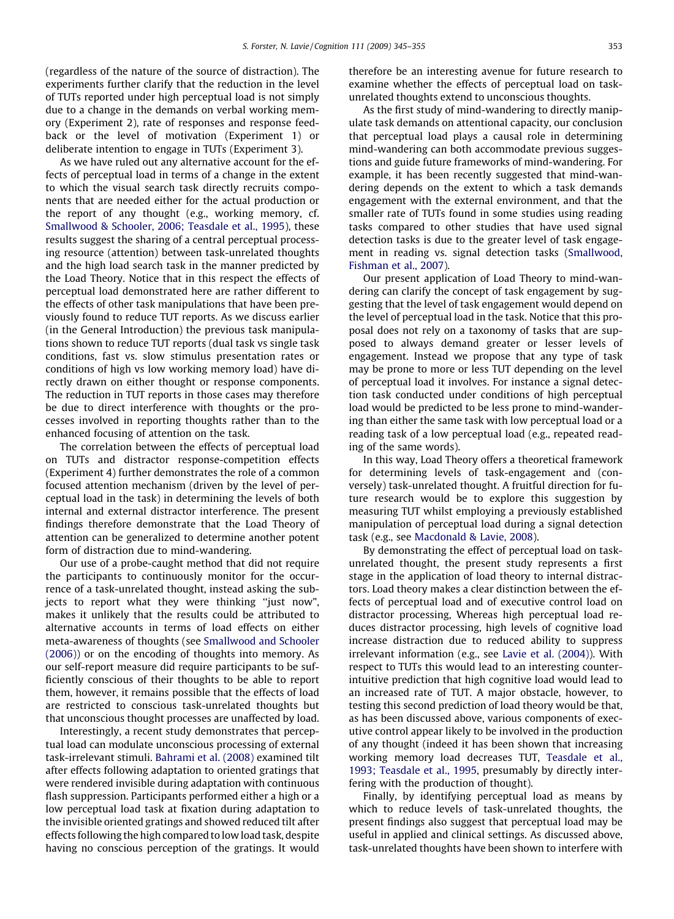(regardless of the nature of the source of distraction). The experiments further clarify that the reduction in the level of TUTs reported under high perceptual load is not simply due to a change in the demands on verbal working memory (Experiment 2), rate of responses and response feedback or the level of motivation (Experiment 1) or deliberate intention to engage in TUTs (Experiment 3).

As we have ruled out any alternative account for the effects of perceptual load in terms of a change in the extent to which the visual search task directly recruits components that are needed either for the actual production or the report of any thought (e.g., working memory, cf. [Smallwood & Schooler, 2006; Teasdale et al., 1995](#page-9-0)), these results suggest the sharing of a central perceptual processing resource (attention) between task-unrelated thoughts and the high load search task in the manner predicted by the Load Theory. Notice that in this respect the effects of perceptual load demonstrated here are rather different to the effects of other task manipulations that have been previously found to reduce TUT reports. As we discuss earlier (in the General Introduction) the previous task manipulations shown to reduce TUT reports (dual task vs single task conditions, fast vs. slow stimulus presentation rates or conditions of high vs low working memory load) have directly drawn on either thought or response components. The reduction in TUT reports in those cases may therefore be due to direct interference with thoughts or the processes involved in reporting thoughts rather than to the enhanced focusing of attention on the task.

The correlation between the effects of perceptual load on TUTs and distractor response-competition effects (Experiment 4) further demonstrates the role of a common focused attention mechanism (driven by the level of perceptual load in the task) in determining the levels of both internal and external distractor interference. The present findings therefore demonstrate that the Load Theory of attention can be generalized to determine another potent form of distraction due to mind-wandering.

Our use of a probe-caught method that did not require the participants to continuously monitor for the occurrence of a task-unrelated thought, instead asking the subjects to report what they were thinking ''just now", makes it unlikely that the results could be attributed to alternative accounts in terms of load effects on either meta-awareness of thoughts (see [Smallwood and Schooler](#page-9-0) [\(2006\)\)](#page-9-0) or on the encoding of thoughts into memory. As our self-report measure did require participants to be sufficiently conscious of their thoughts to be able to report them, however, it remains possible that the effects of load are restricted to conscious task-unrelated thoughts but that unconscious thought processes are unaffected by load.

Interestingly, a recent study demonstrates that perceptual load can modulate unconscious processing of external task-irrelevant stimuli. [Bahrami et al. \(2008\)](#page-9-0) examined tilt after effects following adaptation to oriented gratings that were rendered invisible during adaptation with continuous flash suppression. Participants performed either a high or a low perceptual load task at fixation during adaptation to the invisible oriented gratings and showed reduced tilt after effects following the high compared to low load task, despite having no conscious perception of the gratings. It would therefore be an interesting avenue for future research to examine whether the effects of perceptual load on taskunrelated thoughts extend to unconscious thoughts.

As the first study of mind-wandering to directly manipulate task demands on attentional capacity, our conclusion that perceptual load plays a causal role in determining mind-wandering can both accommodate previous suggestions and guide future frameworks of mind-wandering. For example, it has been recently suggested that mind-wandering depends on the extent to which a task demands engagement with the external environment, and that the smaller rate of TUTs found in some studies using reading tasks compared to other studies that have used signal detection tasks is due to the greater level of task engagement in reading vs. signal detection tasks [\(Smallwood,](#page-9-0) [Fishman et al., 2007\)](#page-9-0).

Our present application of Load Theory to mind-wandering can clarify the concept of task engagement by suggesting that the level of task engagement would depend on the level of perceptual load in the task. Notice that this proposal does not rely on a taxonomy of tasks that are supposed to always demand greater or lesser levels of engagement. Instead we propose that any type of task may be prone to more or less TUT depending on the level of perceptual load it involves. For instance a signal detection task conducted under conditions of high perceptual load would be predicted to be less prone to mind-wandering than either the same task with low perceptual load or a reading task of a low perceptual load (e.g., repeated reading of the same words).

In this way, Load Theory offers a theoretical framework for determining levels of task-engagement and (conversely) task-unrelated thought. A fruitful direction for future research would be to explore this suggestion by measuring TUT whilst employing a previously established manipulation of perceptual load during a signal detection task (e.g., see [Macdonald & Lavie, 2008\)](#page-9-0).

By demonstrating the effect of perceptual load on taskunrelated thought, the present study represents a first stage in the application of load theory to internal distractors. Load theory makes a clear distinction between the effects of perceptual load and of executive control load on distractor processing, Whereas high perceptual load reduces distractor processing, high levels of cognitive load increase distraction due to reduced ability to suppress irrelevant information (e.g., see [Lavie et al. \(2004\)\)](#page-9-0). With respect to TUTs this would lead to an interesting counterintuitive prediction that high cognitive load would lead to an increased rate of TUT. A major obstacle, however, to testing this second prediction of load theory would be that, as has been discussed above, various components of executive control appear likely to be involved in the production of any thought (indeed it has been shown that increasing working memory load decreases TUT, [Teasdale et al.,](#page-10-0) [1993; Teasdale et al., 1995](#page-10-0), presumably by directly interfering with the production of thought).

Finally, by identifying perceptual load as means by which to reduce levels of task-unrelated thoughts, the present findings also suggest that perceptual load may be useful in applied and clinical settings. As discussed above, task-unrelated thoughts have been shown to interfere with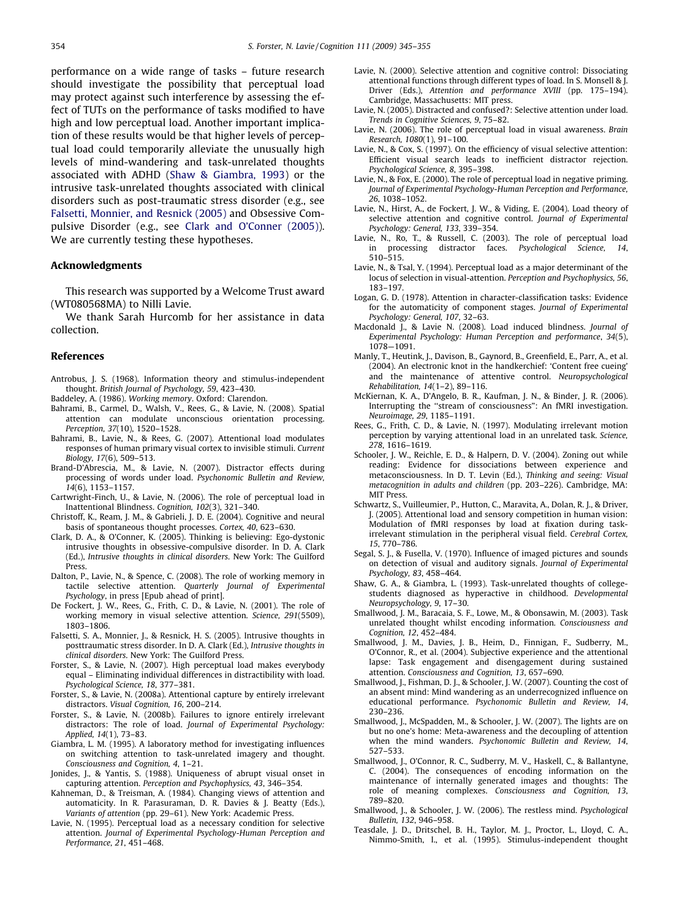<span id="page-9-0"></span>performance on a wide range of tasks – future research should investigate the possibility that perceptual load may protect against such interference by assessing the effect of TUTs on the performance of tasks modified to have high and low perceptual load. Another important implication of these results would be that higher levels of perceptual load could temporarily alleviate the unusually high levels of mind-wandering and task-unrelated thoughts associated with ADHD (Shaw & Giambra, 1993) or the intrusive task-unrelated thoughts associated with clinical disorders such as post-traumatic stress disorder (e.g., see Falsetti, Monnier, and Resnick (2005) and Obsessive Compulsive Disorder (e.g., see Clark and O'Conner (2005)). We are currently testing these hypotheses.

## Acknowledgments

This research was supported by a Welcome Trust award (WT080568MA) to Nilli Lavie.

We thank Sarah Hurcomb for her assistance in data collection.

#### References

- Antrobus, J. S. (1968). Information theory and stimulus-independent thought. British Journal of Psychology, 59, 423–430.
- Baddeley, A. (1986). Working memory. Oxford: Clarendon.
- Bahrami, B., Carmel, D., Walsh, V., Rees, G., & Lavie, N. (2008). Spatial attention can modulate unconscious orientation processing. Perception, 37(10), 1520–1528.
- Bahrami, B., Lavie, N., & Rees, G. (2007). Attentional load modulates responses of human primary visual cortex to invisible stimuli. Current Biology, 17(6), 509–513.
- Brand-D'Abrescia, M., & Lavie, N. (2007). Distractor effects during processing of words under load. Psychonomic Bulletin and Review, 14(6), 1153–1157.
- Cartwright-Finch, U., & Lavie, N. (2006). The role of perceptual load in Inattentional Blindness. Cognition, 102(3), 321–340.
- Christoff, K., Ream, J. M., & Gabrieli, J. D. E. (2004). Cognitive and neural basis of spontaneous thought processes. Cortex, 40, 623–630.
- Clark, D. A., & O'Conner, K. (2005). Thinking is believing: Ego-dystonic intrusive thoughts in obsessive-compulsive disorder. In D. A. Clark (Ed.), Intrusive thoughts in clinical disorders. New York: The Guilford Press.
- Dalton, P., Lavie, N., & Spence, C. (2008). The role of working memory in tactile selective attention. Quarterly Journal of Experimental Psychology, in press [Epub ahead of print].
- De Fockert, J. W., Rees, G., Frith, C. D., & Lavie, N. (2001). The role of working memory in visual selective attention. Science, 291(5509), 1803–1806.
- Falsetti, S. A., Monnier, J., & Resnick, H. S. (2005). Intrusive thoughts in posttraumatic stress disorder. In D. A. Clark (Ed.), Intrusive thoughts in clinical disorders. New York: The Guilford Press.
- Forster, S., & Lavie, N. (2007). High perceptual load makes everybody equal – Eliminating individual differences in distractibility with load. Psychological Science, 18, 377–381.
- Forster, S., & Lavie, N. (2008a). Attentional capture by entirely irrelevant distractors. Visual Cognition, 16, 200–214.
- Forster, S., & Lavie, N. (2008b). Failures to ignore entirely irrelevant distractors: The role of load. Journal of Experimental Psychology: Applied, 14(1), 73–83.
- Giambra, L. M. (1995). A laboratory method for investigating influences on switching attention to task-unrelated imagery and thought. Consciousness and Cognition, 4, 1–21.
- Jonides, J., & Yantis, S. (1988). Uniqueness of abrupt visual onset in capturing attention. Perception and Psychophysics, 43, 346–354.
- Kahneman, D., & Treisman, A. (1984). Changing views of attention and automaticity. In R. Parasuraman, D. R. Davies & J. Beatty (Eds.), Variants of attention (pp. 29–61). New York: Academic Press.
- Lavie, N. (1995). Perceptual load as a necessary condition for selective attention. Journal of Experimental Psychology-Human Perception and Performance, 21, 451–468.
- Lavie, N. (2000). Selective attention and cognitive control: Dissociating attentional functions through different types of load. In S. Monsell & J. Driver (Eds.), Attention and performance XVIII (pp. 175–194). Cambridge, Massachusetts: MIT press.
- Lavie, N. (2005). Distracted and confused?: Selective attention under load. Trends in Cognitive Sciences, 9, 75–82.
- Lavie, N. (2006). The role of perceptual load in visual awareness. Brain Research, 1080(1), 91–100.
- Lavie, N., & Cox, S. (1997). On the efficiency of visual selective attention: Efficient visual search leads to inefficient distractor rejection. Psychological Science, 8, 395–398.
- Lavie, N., & Fox, E. (2000). The role of perceptual load in negative priming. Journal of Experimental Psychology-Human Perception and Performance, 26, 1038–1052.
- Lavie, N., Hirst, A., de Fockert, J. W., & Viding, E. (2004). Load theory of selective attention and cognitive control. Journal of Experimental Psychology: General, 133, 339–354.
- Lavie, N., Ro, T., & Russell, C. (2003). The role of perceptual load in processing distractor faces. Psychological Science, 14, 510–515.
- Lavie, N., & Tsal, Y. (1994). Perceptual load as a major determinant of the locus of selection in visual-attention. Perception and Psychophysics, 56, 183–197.
- Logan, G. D. (1978). Attention in character-classification tasks: Evidence for the automaticity of component stages. Journal of Experimental Psychology: General, 107, 32–63.
- Macdonald J., & Lavie N. (2008). Load induced blindness. Journal of Experimental Psychology: Human Perception and performance, 34(5), 1078—1091.
- Manly, T., Heutink, J., Davison, B., Gaynord, B., Greenfield, E., Parr, A., et al. (2004). An electronic knot in the handkerchief: 'Content free cueing' and the maintenance of attentive control. Neuropsychological Rehabilitation, 14(1–2), 89–116.
- McKiernan, K. A., D'Angelo, B. R., Kaufman, J. N., & Binder, J. R. (2006). Interrupting the ''stream of consciousness": An fMRI investigation. Neuroimage, 29, 1185–1191.
- Rees, G., Frith, C. D., & Lavie, N. (1997). Modulating irrelevant motion perception by varying attentional load in an unrelated task. Science, 278, 1616–1619.
- Schooler, J. W., Reichle, E. D., & Halpern, D. V. (2004). Zoning out while reading: Evidence for dissociations between experience and metaconsciousness. In D. T. Levin (Ed.), Thinking and seeing: Visual metacognition in adults and children (pp. 203–226). Cambridge, MA: MIT Press.
- Schwartz, S., Vuilleumier, P., Hutton, C., Maravita, A., Dolan, R. J., & Driver, J. (2005). Attentional load and sensory competition in human vision: Modulation of fMRI responses by load at fixation during taskirrelevant stimulation in the peripheral visual field. Cerebral Cortex, 15, 770–786.
- Segal, S. J., & Fusella, V. (1970). Influence of imaged pictures and sounds on detection of visual and auditory signals. Journal of Experimental Psychology, 83, 458–464.
- Shaw, G. A., & Giambra, L. (1993). Task-unrelated thoughts of collegestudents diagnosed as hyperactive in childhood. Developmental Neuropsychology, 9, 17–30.
- Smallwood, J. M., Baracaia, S. F., Lowe, M., & Obonsawin, M. (2003). Task unrelated thought whilst encoding information. Consciousness and Cognition, 12, 452–484.
- Smallwood, J. M., Davies, J. B., Heim, D., Finnigan, F., Sudberry, M., O'Connor, R., et al. (2004). Subjective experience and the attentional lapse: Task engagement and disengagement during sustained attention. Consciousness and Cognition, 13, 657–690.
- Smallwood, J., Fishman, D. J., & Schooler, J. W. (2007). Counting the cost of an absent mind: Mind wandering as an underrecognized influence on educational performance. Psychonomic Bulletin and Review, 14, 230–236.
- Smallwood, J., McSpadden, M., & Schooler, J. W. (2007). The lights are on but no one's home: Meta-awareness and the decoupling of attention when the mind wanders. Psychonomic Bulletin and Review, 14, 527–533.
- Smallwood, J., O'Connor, R. C., Sudberry, M. V., Haskell, C., & Ballantyne, C. (2004). The consequences of encoding information on the maintenance of internally generated images and thoughts: The role of meaning complexes. Consciousness and Cognition, 13, 789–820.
- Smallwood, J., & Schooler, J. W. (2006). The restless mind. Psychological Bulletin, 132, 946–958.
- Teasdale, J. D., Dritschel, B. H., Taylor, M. J., Proctor, L., Lloyd, C. A., Nimmo-Smith, I., et al. (1995). Stimulus-independent thought